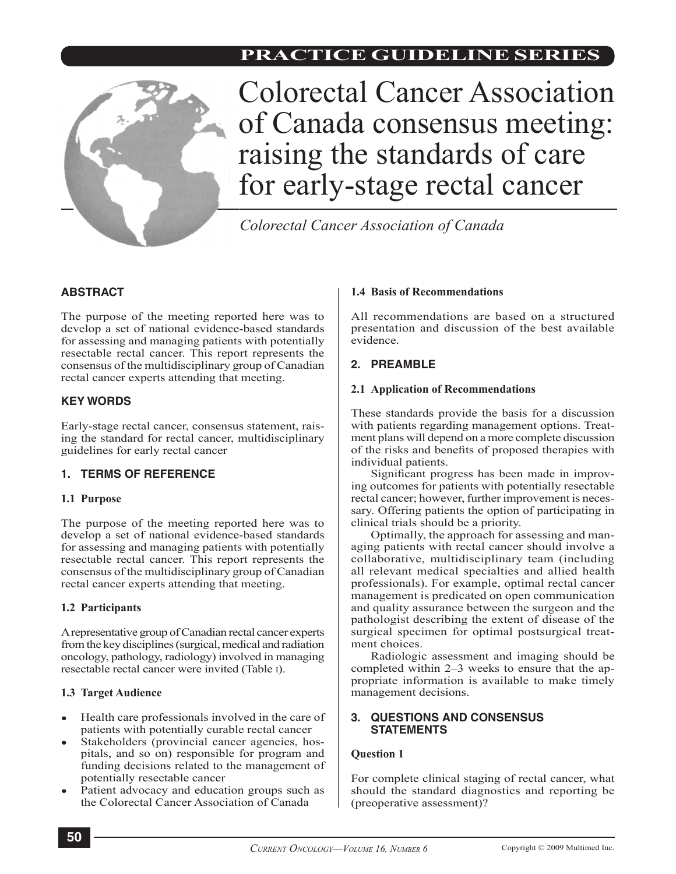

Colorectal Cancer Association of Canada consensus meeting: raising the standards of care for early-stage rectal cancer

*Colorectal Cancer Association of Canada*

# **ABSTRACT**

The purpose of the meeting reported here was to develop a set of national evidence-based standards for assessing and managing patients with potentially resectable rectal cancer. This report represents the consensus of the multidisciplinary group of Canadian rectal cancer experts attending that meeting.

# **KEY WORDS**

Early-stage rectal cancer, consensus statement, raising the standard for rectal cancer, multidisciplinary guidelines for early rectal cancer

# **1. TERMS OF REFERENCE**

# **1.1 Purpose**

The purpose of the meeting reported here was to develop a set of national evidence-based standards for assessing and managing patients with potentially resectable rectal cancer. This report represents the consensus of the multidisciplinary group of Canadian rectal cancer experts attending that meeting.

# **1.2 Participants**

A representative group of Canadian rectal cancer experts from the key disciplines (surgical, medical and radiation oncology, pathology, radiology) involved in managing resectable rectal cancer were invited (Table i).

# **1.3 Target Audience**

- Health care professionals involved in the care of patients with potentially curable rectal cancer
- Stakeholders (provincial cancer agencies, hospitals, and so on) responsible for program and funding decisions related to the management of potentially resectable cancer
- Patient advocacy and education groups such as the Colorectal Cancer Association of Canada

# **1.4 Basis of Recommendations**

All recommendations are based on a structured presentation and discussion of the best available evidence.

# **2. PREAMBLE**

# **2.1 Application of Recommendations**

These standards provide the basis for a discussion with patients regarding management options. Treatment plans will depend on a more complete discussion of the risks and benefits of proposed therapies with individual patients.

Significant progress has been made in improving outcomes for patients with potentially resectable rectal cancer; however, further improvement is necessary. Offering patients the option of participating in clinical trials should be a priority.

Optimally, the approach for assessing and managing patients with rectal cancer should involve a collaborative, multidisciplinary team (including all relevant medical specialties and allied health professionals). For example, optimal rectal cancer management is predicated on open communication and quality assurance between the surgeon and the pathologist describing the extent of disease of the surgical specimen for optimal postsurgical treatment choices.

Radiologic assessment and imaging should be completed within 2–3 weeks to ensure that the appropriate information is available to make timely management decisions.

# **3. QUESTIONS AND CONSENSUS STATEMENTS**

# **Question 1**

For complete clinical staging of rectal cancer, what should the standard diagnostics and reporting be (preoperative assessment)?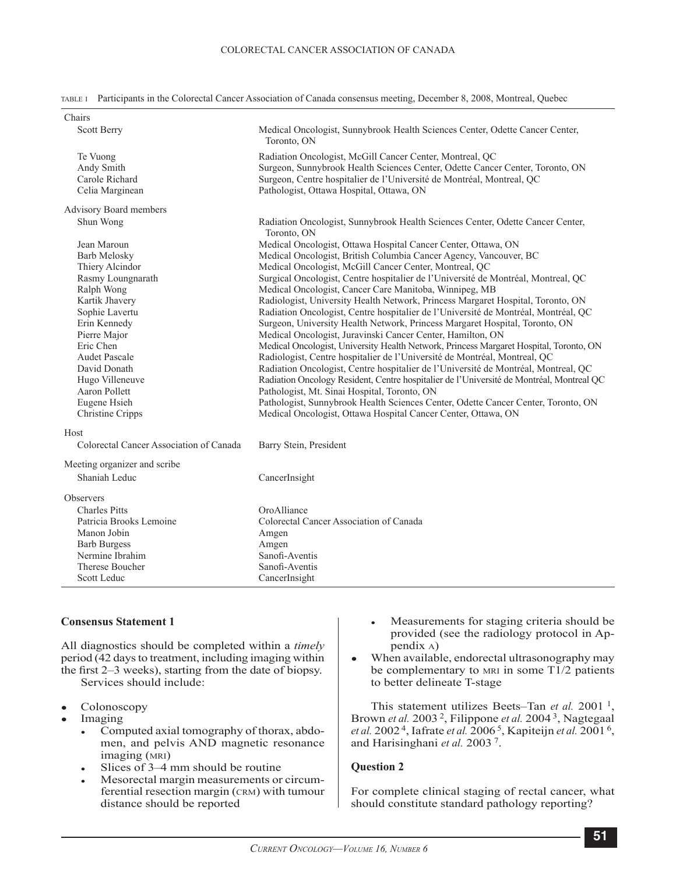|  | TABLE 1 Participants in the Colorectal Cancer Association of Canada consensus meeting, December 8, 2008, Montreal, Quebec |  |  |  |  |  |  |  |
|--|---------------------------------------------------------------------------------------------------------------------------|--|--|--|--|--|--|--|
|--|---------------------------------------------------------------------------------------------------------------------------|--|--|--|--|--|--|--|

| Chairs                                                                                                                                                                                                                                                                             |                                                                                                                                                                                                                                                                                                                                                                                                                                                                                                                                                                                                                                                                                                                                                                                                                                                                                                                                                                                                                                                                                                                                                                                                                                  |
|------------------------------------------------------------------------------------------------------------------------------------------------------------------------------------------------------------------------------------------------------------------------------------|----------------------------------------------------------------------------------------------------------------------------------------------------------------------------------------------------------------------------------------------------------------------------------------------------------------------------------------------------------------------------------------------------------------------------------------------------------------------------------------------------------------------------------------------------------------------------------------------------------------------------------------------------------------------------------------------------------------------------------------------------------------------------------------------------------------------------------------------------------------------------------------------------------------------------------------------------------------------------------------------------------------------------------------------------------------------------------------------------------------------------------------------------------------------------------------------------------------------------------|
| <b>Scott Berry</b>                                                                                                                                                                                                                                                                 | Medical Oncologist, Sunnybrook Health Sciences Center, Odette Cancer Center,<br>Toronto, ON                                                                                                                                                                                                                                                                                                                                                                                                                                                                                                                                                                                                                                                                                                                                                                                                                                                                                                                                                                                                                                                                                                                                      |
| Te Vuong<br>Andy Smith<br>Carole Richard<br>Celia Marginean                                                                                                                                                                                                                        | Radiation Oncologist, McGill Cancer Center, Montreal, QC<br>Surgeon, Sunnybrook Health Sciences Center, Odette Cancer Center, Toronto, ON<br>Surgeon, Centre hospitalier de l'Université de Montréal, Montreal, QC<br>Pathologist, Ottawa Hospital, Ottawa, ON                                                                                                                                                                                                                                                                                                                                                                                                                                                                                                                                                                                                                                                                                                                                                                                                                                                                                                                                                                   |
| Advisory Board members                                                                                                                                                                                                                                                             |                                                                                                                                                                                                                                                                                                                                                                                                                                                                                                                                                                                                                                                                                                                                                                                                                                                                                                                                                                                                                                                                                                                                                                                                                                  |
| Shun Wong                                                                                                                                                                                                                                                                          | Radiation Oncologist, Sunnybrook Health Sciences Center, Odette Cancer Center,<br>Toronto, ON                                                                                                                                                                                                                                                                                                                                                                                                                                                                                                                                                                                                                                                                                                                                                                                                                                                                                                                                                                                                                                                                                                                                    |
| Jean Maroun<br>Barb Melosky<br>Thiery Alcindor<br>Rasmy Loungnarath<br>Ralph Wong<br>Kartik Jhavery<br>Sophie Lavertu<br>Erin Kennedy<br>Pierre Major<br>Eric Chen<br><b>Audet Pascale</b><br>David Donath<br>Hugo Villeneuve<br>Aaron Pollett<br>Eugene Hsieh<br>Christine Cripps | Medical Oncologist, Ottawa Hospital Cancer Center, Ottawa, ON<br>Medical Oncologist, British Columbia Cancer Agency, Vancouver, BC<br>Medical Oncologist, McGill Cancer Center, Montreal, QC<br>Surgical Oncologist, Centre hospitalier de l'Université de Montréal, Montreal, QC<br>Medical Oncologist, Cancer Care Manitoba, Winnipeg, MB<br>Radiologist, University Health Network, Princess Margaret Hospital, Toronto, ON<br>Radiation Oncologist, Centre hospitalier de l'Université de Montréal, Montréal, QC<br>Surgeon, University Health Network, Princess Margaret Hospital, Toronto, ON<br>Medical Oncologist, Juravinski Cancer Center, Hamilton, ON<br>Medical Oncologist, University Health Network, Princess Margaret Hospital, Toronto, ON<br>Radiologist, Centre hospitalier de l'Université de Montréal, Montreal, QC<br>Radiation Oncologist, Centre hospitalier de l'Université de Montréal, Montreal, QC<br>Radiation Oncology Resident, Centre hospitalier de l'Université de Montréal, Montreal QC<br>Pathologist, Mt. Sinai Hospital, Toronto, ON<br>Pathologist, Sunnybrook Health Sciences Center, Odette Cancer Center, Toronto, ON<br>Medical Oncologist, Ottawa Hospital Cancer Center, Ottawa, ON |
| Host                                                                                                                                                                                                                                                                               |                                                                                                                                                                                                                                                                                                                                                                                                                                                                                                                                                                                                                                                                                                                                                                                                                                                                                                                                                                                                                                                                                                                                                                                                                                  |
| Colorectal Cancer Association of Canada                                                                                                                                                                                                                                            | Barry Stein, President                                                                                                                                                                                                                                                                                                                                                                                                                                                                                                                                                                                                                                                                                                                                                                                                                                                                                                                                                                                                                                                                                                                                                                                                           |
| Meeting organizer and scribe<br>Shaniah Leduc                                                                                                                                                                                                                                      | CancerInsight                                                                                                                                                                                                                                                                                                                                                                                                                                                                                                                                                                                                                                                                                                                                                                                                                                                                                                                                                                                                                                                                                                                                                                                                                    |
| <b>Observers</b>                                                                                                                                                                                                                                                                   |                                                                                                                                                                                                                                                                                                                                                                                                                                                                                                                                                                                                                                                                                                                                                                                                                                                                                                                                                                                                                                                                                                                                                                                                                                  |
| <b>Charles Pitts</b><br>Patricia Brooks Lemoine<br>Manon Jobin<br><b>Barb Burgess</b><br>Nermine Ibrahim<br>Therese Boucher                                                                                                                                                        | OroAlliance<br>Colorectal Cancer Association of Canada<br>Amgen<br>Amgen<br>Sanofi-Aventis<br>Sanofi-Aventis                                                                                                                                                                                                                                                                                                                                                                                                                                                                                                                                                                                                                                                                                                                                                                                                                                                                                                                                                                                                                                                                                                                     |
| Scott Leduc                                                                                                                                                                                                                                                                        | CancerInsight                                                                                                                                                                                                                                                                                                                                                                                                                                                                                                                                                                                                                                                                                                                                                                                                                                                                                                                                                                                                                                                                                                                                                                                                                    |

#### **Consensus Statement 1**

All diagnostics should be completed within a *timely* period (42 days to treatment, including imaging within the first 2–3 weeks), starting from the date of biopsy. Services should include:

- **Colonoscopy**
- Imaging
	- Computed axial tomography of thorax, abdomen, and pelvis AND magnetic resonance imaging (mri)
	- Slices of 3–4 mm should be routine
	- Mesorectal margin measurements or circumferential resection margin (crm) with tumour distance should be reported
- Measurements for staging criteria should be provided (see the radiology protocol in Appendix a)
- When available, endorectal ultrasonography may be complementary to  $MRI$  in some T1/2 patients to better delineate T-stage

This statement utilizes Beets–Tan *et al.* 2001<sup>1</sup>, Brown *et al.* 2003 2, Filippone *et al.* 2004 3, Nagtegaal *et al.* 2002 4, Iafrate *et al.* 2006 5, Kapiteijn *et al.* 2001 6, and Harisinghani *et al.* 2003 7.

#### **Question 2**

For complete clinical staging of rectal cancer, what should constitute standard pathology reporting?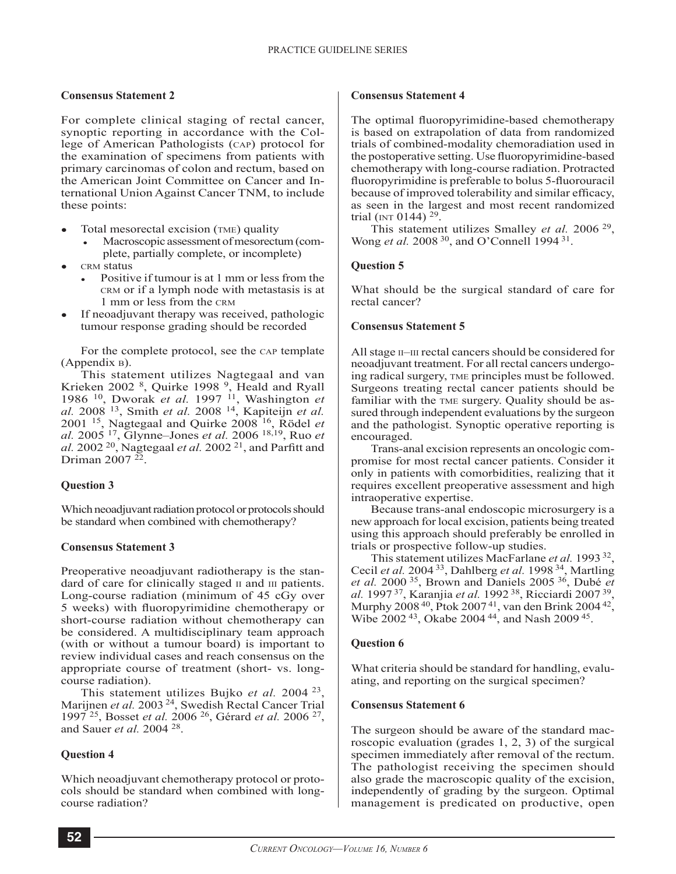### **Consensus Statement 2**

For complete clinical staging of rectal cancer, synoptic reporting in accordance with the College of American Pathologists (cap) protocol for the examination of specimens from patients with primary carcinomas of colon and rectum, based on the American Joint Committee on Cancer and International Union Against Cancer TNM, to include these points:

- Total mesorectal excision (TME) quality
	- Macroscopic assessment of mesorectum (complete, partially complete, or incomplete)
- crm status
	- Positive if tumour is at 1 mm or less from the crm or if a lymph node with metastasis is at 1 mm or less from the crm
- If neoadjuvant therapy was received, pathologic tumour response grading should be recorded

For the complete protocol, see the cap template (Appendix b).

This statement utilizes Nagtegaal and van Krieken 2002<sup>8</sup>, Quirke 1998<sup>9</sup>, Heald and Ryall 1986 10, Dworak *et al.* 1997 11, Washington *et al.* 2008 13, Smith *et al.* 2008 14, Kapiteijn *et al.* 2001 15, Nagtegaal and Quirke 2008 16, Rödel *et al.* 2005 17, Glynne–Jones *et al.* 2006 18,19, Ruo *et al.* 2002 20, Nagtegaal *et al.* 2002 21, and Parfitt and Driman 2007 22.

### **Question 3**

Which neoadjuvant radiation protocol or protocols should be standard when combined with chemotherapy?

### **Consensus Statement 3**

Preoperative neoadjuvant radiotherapy is the standard of care for clinically staged  $\pi$  and  $\pi$  patients. Long-course radiation (minimum of 45 cGy over 5 weeks) with fluoropyrimidine chemotherapy or short-course radiation without chemotherapy can be considered. A multidisciplinary team approach (with or without a tumour board) is important to review individual cases and reach consensus on the appropriate course of treatment (short- vs. longcourse radiation).

This statement utilizes Bujko *et al.* 2004 23, Marijnen *et al.* 2003<sup>24</sup>, Swedish Rectal Cancer Trial 1997 25, Bosset *et al.* 2006 26, Gérard *et al.* 2006 27, and Sauer *et al.* 2004 28.

### **Question 4**

Which neoadjuvant chemotherapy protocol or protocols should be standard when combined with longcourse radiation?

#### **Consensus Statement 4**

The optimal fluoropyrimidine-based chemotherapy is based on extrapolation of data from randomized trials of combined-modality chemoradiation used in the postoperative setting. Use fluoropyrimidine-based chemotherapy with long-course radiation. Protracted fluoropyrimidine is preferable to bolus 5-fluorouracil because of improved tolerability and similar efficacy, as seen in the largest and most recent randomized trial (INT 0144)  $29$ .

This statement utilizes Smalley *et al.* 2006 29, Wong *et al.* 2008 30, and O'Connell 1994 31.

# **Question 5**

What should be the surgical standard of care for rectal cancer?

### **Consensus Statement 5**

All stage  $II$ –III rectal cancers should be considered for neoadjuvant treatment. For all rectal cancers undergoing radical surgery, tme principles must be followed. Surgeons treating rectal cancer patients should be familiar with the tme surgery. Quality should be assured through independent evaluations by the surgeon and the pathologist. Synoptic operative reporting is encouraged.

Trans-anal excision represents an oncologic compromise for most rectal cancer patients. Consider it only in patients with comorbidities, realizing that it requires excellent preoperative assessment and high intraoperative expertise.

Because trans-anal endoscopic microsurgery is a new approach for local excision, patients being treated using this approach should preferably be enrolled in trials or prospective follow-up studies.

This statement utilizes MacFarlane *et al.* 1993 32, Cecil *et al.* 2004 33, Dahlberg *et al.* 1998 34, Martling *et al.* 2000 35, Brown and Daniels 2005 36, Dubé *et al.* 1997 37, Karanjia *et al.* 1992 38, Ricciardi 2007 39, Murphy  $2008^{40}$ , Ptok  $2007^{41}$ , van den Brink  $2004^{42}$ , Wibe 2002 43, Okabe 2004 44, and Nash 2009 45.

### **Question 6**

What criteria should be standard for handling, evaluating, and reporting on the surgical specimen?

### **Consensus Statement 6**

The surgeon should be aware of the standard macroscopic evaluation (grades 1, 2, 3) of the surgical specimen immediately after removal of the rectum. The pathologist receiving the specimen should also grade the macroscopic quality of the excision, independently of grading by the surgeon. Optimal management is predicated on productive, open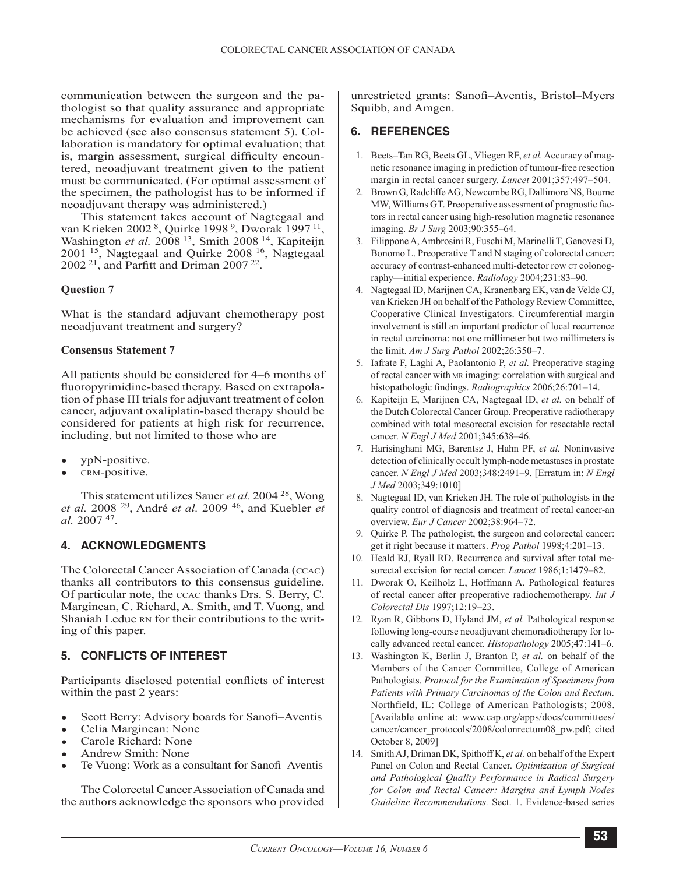communication between the surgeon and the pathologist so that quality assurance and appropriate mechanisms for evaluation and improvement can be achieved (see also consensus statement 5). Collaboration is mandatory for optimal evaluation; that is, margin assessment, surgical difficulty encountered, neoadjuvant treatment given to the patient must be communicated. (For optimal assessment of the specimen, the pathologist has to be informed if neoadjuvant therapy was administered.)

This statement takes account of Nagtegaal and van Krieken 2002 8, Quirke 1998 9, Dworak 1997 11, Washington *et al.* 2008<sup>13</sup>, Smith 2008<sup>14</sup>, Kapiteijn 2001 15, Nagtegaal and Quirke 2008 16, Nagtegaal 2002 21, and Parfitt and Driman 2007 22.

### **Question 7**

What is the standard adjuvant chemotherapy post neoadjuvant treatment and surgery?

### **Consensus Statement 7**

All patients should be considered for 4–6 months of fluoropyrimidine-based therapy. Based on extrapolation of phase III trials for adjuvant treatment of colon cancer, adjuvant oxaliplatin-based therapy should be considered for patients at high risk for recurrence, including, but not limited to those who are

- ypN-positive.
- crm-positive.

This statement utilizes Sauer *et al.* 2004 28, Wong *et al.* 2008 29, André *et al.* 2009 46, and Kuebler *et al.* 2007 47.

# **4. ACKNOWLEDGMENTS**

The Colorectal Cancer Association of Canada (ccac) thanks all contributors to this consensus guideline. Of particular note, the ccac thanks Drs. S. Berry, C. Marginean, C. Richard, A. Smith, and T. Vuong, and Shaniah Leduc RN for their contributions to the writing of this paper.

# **5. CONFLICTS OF INTEREST**

Participants disclosed potential conflicts of interest within the past 2 years:

- Scott Berry: Advisory boards for Sanofi–Aventis
- Celia Marginean: None
- Carole Richard: None
- Andrew Smith: None
- Te Vuong: Work as a consultant for Sanofi–Aventis

The Colorectal Cancer Association of Canada and the authors acknowledge the sponsors who provided unrestricted grants: Sanofi–Aventis, Bristol–Myers Squibb, and Amgen.

# **6. REFERENCES**

- 1. Beets–Tan RG, Beets GL, Vliegen RF, *et al.* Accuracy of magnetic resonance imaging in prediction of tumour-free resection margin in rectal cancer surgery. *Lancet* 2001;357:497–504.
- 2. Brown G, Radcliffe AG, Newcombe RG, Dallimore NS, Bourne MW, Williams GT. Preoperative assessment of prognostic factors in rectal cancer using high-resolution magnetic resonance imaging. *Br J Surg* 2003;90:355–64.
- 3. Filippone A, Ambrosini R, Fuschi M, Marinelli T, Genovesi D, Bonomo L. Preoperative T and N staging of colorectal cancer: accuracy of contrast-enhanced multi-detector row CT colonography—initial experience. *Radiology* 2004;231:83–90.
- 4. Nagtegaal ID, Marijnen CA, Kranenbarg EK, van de Velde CJ, van Krieken JH on behalf of the Pathology Review Committee, Cooperative Clinical Investigators. Circumferential margin involvement is still an important predictor of local recurrence in rectal carcinoma: not one millimeter but two millimeters is the limit. *Am J Surg Pathol* 2002;26:350–7.
- 5. Iafrate F, Laghi A, Paolantonio P, *et al.* Preoperative staging of rectal cancer with mr imaging: correlation with surgical and histopathologic findings. *Radiographics* 2006;26:701–14.
- 6. Kapiteijn E, Marijnen CA, Nagtegaal ID, *et al.* on behalf of the Dutch Colorectal Cancer Group. Preoperative radiotherapy combined with total mesorectal excision for resectable rectal cancer. *N Engl J Med* 2001;345:638–46.
- 7. Harisinghani MG, Barentsz J, Hahn PF, *et al.* Noninvasive detection of clinically occult lymph-node metastases in prostate cancer. *N Engl J Med* 2003;348:2491–9. [Erratum in: *N Engl J Med* 2003;349:1010]
- 8. Nagtegaal ID, van Krieken JH. The role of pathologists in the quality control of diagnosis and treatment of rectal cancer-an overview. *Eur J Cancer* 2002;38:964–72.
- Quirke P. The pathologist, the surgeon and colorectal cancer: get it right because it matters. *Prog Pathol* 1998;4:201–13.
- 10. Heald RJ, Ryall RD. Recurrence and survival after total mesorectal excision for rectal cancer. *Lancet* 1986;1:1479–82.
- 11. Dworak O, Keilholz L, Hoffmann A. Pathological features of rectal cancer after preoperative radiochemotherapy. *Int J Colorectal Dis* 1997;12:19–23.
- 12. Ryan R, Gibbons D, Hyland JM, *et al.* Pathological response following long-course neoadjuvant chemoradiotherapy for locally advanced rectal cancer. *Histopathology* 2005;47:141–6.
- 13. Washington K, Berlin J, Branton P, *et al.* on behalf of the Members of the Cancer Committee, College of American Pathologists. *Protocol for the Examination of Specimens from Patients with Primary Carcinomas of the Colon and Rectum.* Northfield, IL: College of American Pathologists; 2008. [Available online at: www.cap.org/apps/docs/committees/ cancer/cancer\_protocols/2008/colonrectum08\_pw.pdf; cited October 8, 2009]
- 14. Smith AJ, Driman DK, Spithoff K, *et al.* on behalf of the Expert Panel on Colon and Rectal Cancer. *Optimization of Surgical and Pathological Quality Performance in Radical Surgery for Colon and Rectal Cancer: Margins and Lymph Nodes Guideline Recommendations.* Sect. 1. Evidence-based series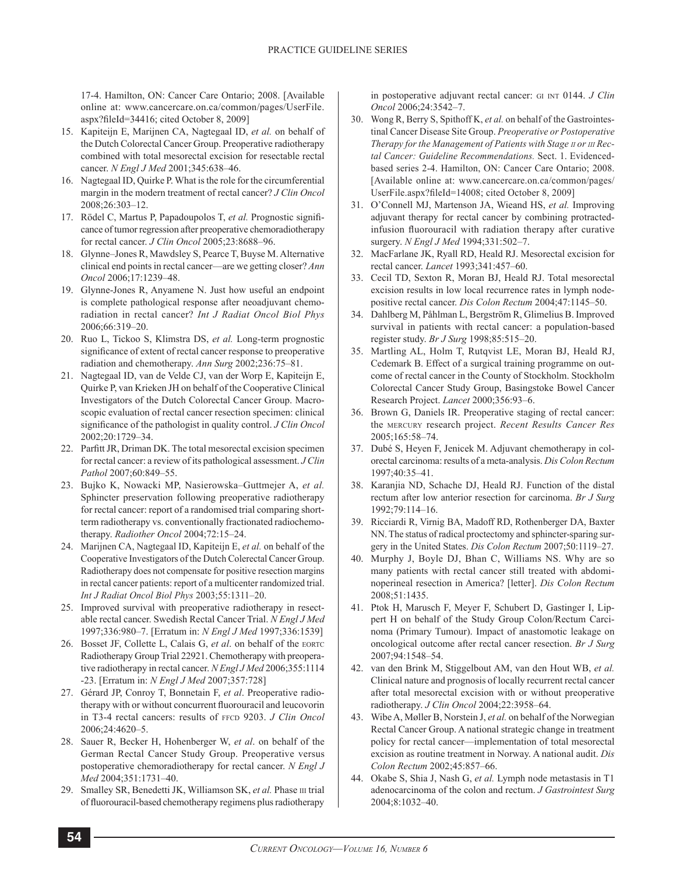17-4. Hamilton, ON: Cancer Care Ontario; 2008. [Available online at: www.cancercare.on.ca/common/pages/UserFile. aspx?fileId=34416; cited October 8, 2009]

- 15. Kapiteijn E, Marijnen CA, Nagtegaal ID, *et al.* on behalf of the Dutch Colorectal Cancer Group. Preoperative radiotherapy combined with total mesorectal excision for resectable rectal cancer. *N Engl J Med* 2001;345:638–46.
- 16. Nagtegaal ID, Quirke P. What is the role for the circumferential margin in the modern treatment of rectal cancer? *J Clin Oncol* 2008;26:303–12.
- 17. Rödel C, Martus P, Papadoupolos T, *et al.* Prognostic significance of tumor regression after preoperative chemoradiotherapy for rectal cancer. *J Clin Oncol* 2005;23:8688–96.
- 18. Glynne–Jones R, Mawdsley S, Pearce T, Buyse M. Alternative clinical end points in rectal cancer—are we getting closer? *Ann Oncol* 2006;17:1239–48.
- 19. Glynne-Jones R, Anyamene N. Just how useful an endpoint is complete pathological response after neoadjuvant chemoradiation in rectal cancer? *Int J Radiat Oncol Biol Phys* 2006;66:319–20.
- 20. Ruo L, Tickoo S, Klimstra DS, *et al.* Long-term prognostic significance of extent of rectal cancer response to preoperative radiation and chemotherapy. *Ann Surg* 2002;236:75–81.
- 21. Nagtegaal ID, van de Velde CJ, van der Worp E, Kapiteijn E, Quirke P, van Krieken JH on behalf of the Cooperative Clinical Investigators of the Dutch Colorectal Cancer Group. Macroscopic evaluation of rectal cancer resection specimen: clinical significance of the pathologist in quality control. *J Clin Oncol* 2002;20:1729–34.
- 22. Parfitt JR, Driman DK. The total mesorectal excision specimen for rectal cancer: a review of its pathological assessment. *J Clin Pathol* 2007;60:849–55.
- 23. Bujko K, Nowacki MP, Nasierowska–Guttmejer A, *et al.* Sphincter preservation following preoperative radiotherapy for rectal cancer: report of a randomised trial comparing shortterm radiotherapy vs. conventionally fractionated radiochemotherapy. *Radiother Oncol* 2004;72:15–24.
- 24. Marijnen CA, Nagtegaal ID, Kapiteijn E, *et al.* on behalf of the Cooperative Investigators of the Dutch Colerectal Cancer Group. Radiotherapy does not compensate for positive resection margins in rectal cancer patients: report of a multicenter randomized trial. *Int J Radiat Oncol Biol Phys* 2003;55:1311–20.
- 25. Improved survival with preoperative radiotherapy in resectable rectal cancer. Swedish Rectal Cancer Trial. *N Engl J Med* 1997;336:980–7. [Erratum in: *N Engl J Med* 1997;336:1539]
- 26. Bosset JF, Collette L, Calais G, et al. on behalf of the EORTC Radiotherapy Group Trial 22921. Chemotherapy with preoperative radiotherapy in rectal cancer. *N Engl J Med* 2006;355:1114 -23. [Erratum in: *N Engl J Med* 2007;357:728]
- 27. Gérard JP, Conroy T, Bonnetain F, *et al*. Preoperative radiotherapy with or without concurrent fluorouracil and leucovorin in T3-4 rectal cancers: results of FFCD 9203. *J Clin Oncol* 2006;24:4620–5.
- 28. Sauer R, Becker H, Hohenberger W, *et al*. on behalf of the German Rectal Cancer Study Group. Preoperative versus postoperative chemoradiotherapy for rectal cancer. *N Engl J Med* 2004;351:1731–40.
- 29. Smalley SR, Benedetti JK, Williamson SK, et al. Phase  $I\text{II}$  trial of fluorouracil-based chemotherapy regimens plus radiotherapy

in postoperative adjuvant rectal cancer: GI INT 0144. *J Clin Oncol* 2006;24:3542–7.

- 30. Wong R, Berry S, Spithoff K, *et al.* on behalf of the Gastrointestinal Cancer Disease Site Group. *Preoperative or Postoperative Therapy for the Management of Patients with Stage ii or iii Rectal Cancer: Guideline Recommendations.* Sect. 1. Evidencedbased series 2-4. Hamilton, ON: Cancer Care Ontario; 2008. [Available online at: www.cancercare.on.ca/common/pages/ UserFile.aspx?fileId=14008; cited October 8, 2009]
- 31. O'Connell MJ, Martenson JA, Wieand HS, *et al.* Improving adjuvant therapy for rectal cancer by combining protractedinfusion fluorouracil with radiation therapy after curative surgery. *N Engl J Med* 1994;331:502–7.
- 32. MacFarlane JK, Ryall RD, Heald RJ. Mesorectal excision for rectal cancer. *Lancet* 1993;341:457–60.
- 33. Cecil TD, Sexton R, Moran BJ, Heald RJ. Total mesorectal excision results in low local recurrence rates in lymph nodepositive rectal cancer. *Dis Colon Rectum* 2004;47:1145–50.
- 34. Dahlberg M, Påhlman L, Bergström R, Glimelius B. Improved survival in patients with rectal cancer: a population-based register study. *Br J Surg* 1998;85:515–20.
- 35. Martling AL, Holm T, Rutqvist LE, Moran BJ, Heald RJ, Cedemark B. Effect of a surgical training programme on outcome of rectal cancer in the County of Stockholm. Stockholm Colorectal Cancer Study Group, Basingstoke Bowel Cancer Research Project. *Lancet* 2000;356:93–6.
- 36. Brown G, Daniels IR. Preoperative staging of rectal cancer: the mercury research project. *Recent Results Cancer Res* 2005;165:58–74.
- 37. Dubé S, Heyen F, Jenicek M. Adjuvant chemotherapy in colorectal carcinoma: results of a meta-analysis. *Dis Colon Rectum* 1997;40:35–41.
- 38. Karanjia ND, Schache DJ, Heald RJ. Function of the distal rectum after low anterior resection for carcinoma. *Br J Surg* 1992;79:114–16.
- 39. Ricciardi R, Virnig BA, Madoff RD, Rothenberger DA, Baxter NN. The status of radical proctectomy and sphincter-sparing surgery in the United States. *Dis Colon Rectum* 2007;50:1119–27.
- 40. Murphy J, Boyle DJ, Bhan C, Williams NS. Why are so many patients with rectal cancer still treated with abdominoperineal resection in America? [letter]. *Dis Colon Rectum* 2008;51:1435.
- 41. Ptok H, Marusch F, Meyer F, Schubert D, Gastinger I, Lippert H on behalf of the Study Group Colon/Rectum Carcinoma (Primary Tumour). Impact of anastomotic leakage on oncological outcome after rectal cancer resection. *Br J Surg* 2007;94:1548–54.
- 42. van den Brink M, Stiggelbout AM, van den Hout WB, *et al.* Clinical nature and prognosis of locally recurrent rectal cancer after total mesorectal excision with or without preoperative radiotherapy. *J Clin Oncol* 2004;22:3958–64.
- 43. Wibe A, Møller B, Norstein J, *et al.* on behalf of the Norwegian Rectal Cancer Group. A national strategic change in treatment policy for rectal cancer—implementation of total mesorectal excision as routine treatment in Norway. A national audit. *Dis Colon Rectum* 2002;45:857–66.
- 44. Okabe S, Shia J, Nash G, *et al.* Lymph node metastasis in T1 adenocarcinoma of the colon and rectum. *J Gastrointest Surg* 2004;8:1032–40.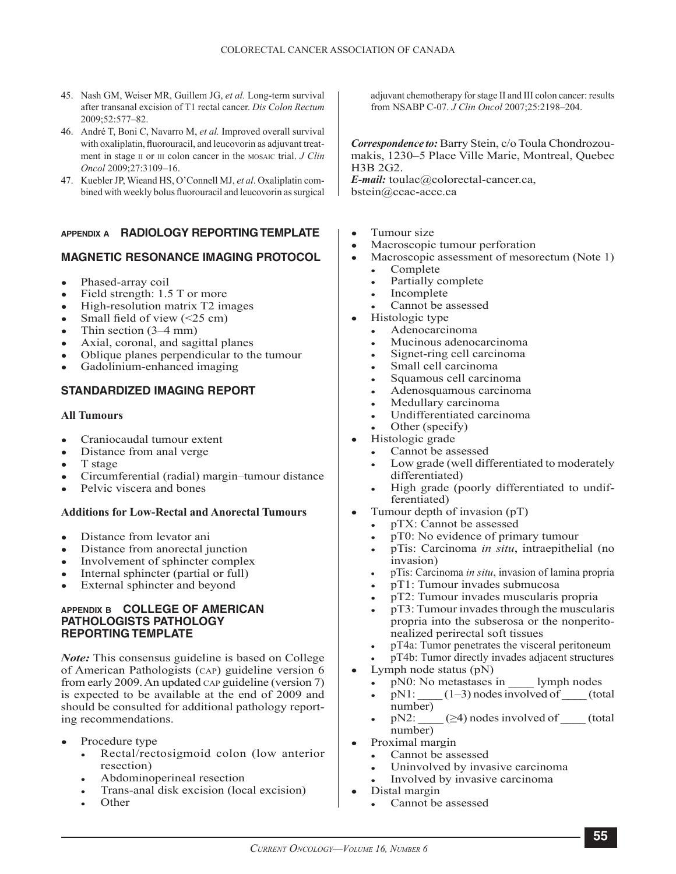- 45. Nash GM, Weiser MR, Guillem JG, *et al.* Long-term survival after transanal excision of T1 rectal cancer. *Dis Colon Rectum* 2009;52:577–82.
- 46. André T, Boni C, Navarro M, *et al.* Improved overall survival with oxaliplatin, fluorouracil, and leucovorin as adjuvant treatment in stage  $\pi$  or  $\pi$  colon cancer in the MOSAIC trial. *J Clin Oncol* 2009;27:3109–16.
- 47. Kuebler JP, Wieand HS, O'Connell MJ, *et al*. Oxaliplatin combined with weekly bolus fluorouracil and leucovorin as surgical

### **appendix a RADIOLOGY REPORTING TEMPLATE**

### **MAGNETIC RESONANCE IMAGING PROTOCOL**

- Phased-array coil
- Field strength: 1.5 T or more
- High-resolution matrix T2 images
- Small field of view  $(\leq 25 \text{ cm})$
- Thin section  $(3-4$  mm)
- Axial, coronal, and sagittal planes
- Oblique planes perpendicular to the tumour
- Gadolinium-enhanced imaging

### **STANDARDIZED IMAGING REPORT**

#### **All Tumours**

- Craniocaudal tumour extent
- Distance from anal verge
- T stage
- Circumferential (radial) margin–tumour distance
- Pelvic viscera and bones

### **Additions for Low-Rectal and Anorectal Tumours**

- Distance from levator ani
- Distance from anorectal junction
- Involvement of sphincter complex
- Internal sphincter (partial or full)
- External sphincter and beyond

#### **appendix b COLLEGE OF AMERICAN PATHOLOGISTS PATHOLOGY REPORTING TEMPLATE**

*Note:* This consensus guideline is based on College of American Pathologists (cap) guideline version 6 from early 2009. An updated cap guideline (version 7) is expected to be available at the end of 2009 and should be consulted for additional pathology reporting recommendations.

- Procedure type
	- Rectal/rectosigmoid colon (low anterior resection)
	- Abdominoperineal resection
	- Trans-anal disk excision (local excision)
	- **Other**

adjuvant chemotherapy for stage II and III colon cancer: results from NSABP C-07. *J Clin Oncol* 2007;25:2198–204.

*Correspondence to:* Barry Stein, c/o Toula Chondrozoumakis, 1230–5 Place Ville Marie, Montreal, Quebec H3B 2G2.

*E-mail:* toulac@colorectal-cancer.ca, bstein@ccac-accc.ca

- Tumour size
- Macroscopic tumour perforation
- Macroscopic assessment of mesorectum (Note 1)
	- **Complete**
	- Partially complete
	- Incomplete
	- Cannot be assessed
	- Histologic type
	- Adenocarcinoma
	- Mucinous adenocarcinoma
	- Signet-ring cell carcinoma
	- Small cell carcinoma
	- Squamous cell carcinoma
	- Adenosquamous carcinoma
	- Medullary carcinoma
	- Undifferentiated carcinoma
	- Other (specify)
- Histologic grade
	- Cannot be assessed
		- Low grade (well differentiated to moderately differentiated)
	- High grade (poorly differentiated to undifferentiated)
- Tumour depth of invasion  $(pT)$ 
	- pTX: Cannot be assessed
	- pT0: No evidence of primary tumour
	- pTis: Carcinoma *in situ*, intraepithelial (no invasion)
	- pTis: Carcinoma *in situ*, invasion of lamina propria
	- pT1: Tumour invades submucosa
	- pT2: Tumour invades muscularis propria
	- $pT3$ : Tumour invades through the muscularis propria into the subserosa or the nonperitonealized perirectal soft tissues
	- pT4a: Tumor penetrates the visceral peritoneum
	- pT4b: Tumor directly invades adjacent structures
- Lymph node status  $(pN)$ 
	- pN0: No metastases in lymph nodes
	- $pN1:$   $(1-3)$  nodes involved of  $(total)$ number)
	- $pN2:$  \_\_\_\_\_ ( $\geq 4$ ) nodes involved of (total number)
- Proximal margin
	- Cannot be assessed
	- Uninvolved by invasive carcinoma
	- Involved by invasive carcinoma
- Distal margin
	- Cannot be assessed